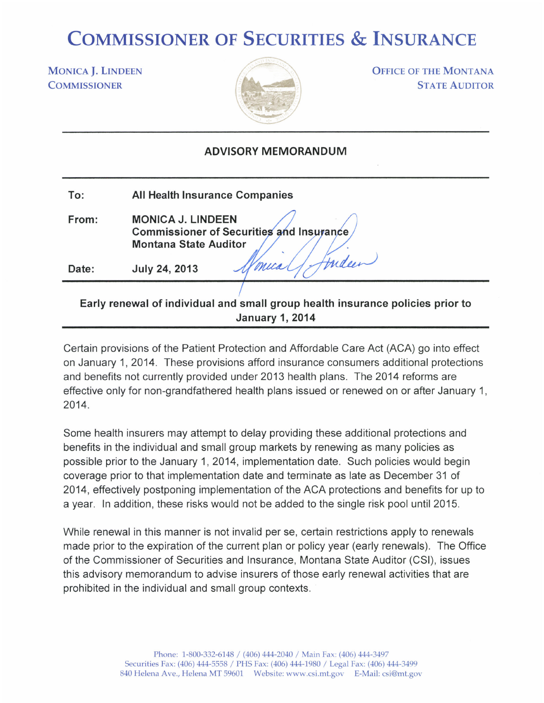## COMMISSIONER OF SECURITIES & INSURANCE

MONICA J. LINDEEN **COMMISSIONER** 



**OFFICE OF THE MONTANA STATE AUDITOR** 

## ADVISORY MEMORANDUM

| To:   | <b>All Health Insurance Companies</b>                                                                                                                                                                                          |
|-------|--------------------------------------------------------------------------------------------------------------------------------------------------------------------------------------------------------------------------------|
| From: | <b>MONICA J. LINDEEN</b><br><b>Commissioner of Securities and Insurance</b><br><b>Montana State Auditor</b>                                                                                                                    |
| Date: | trideen<br>"V mica"<br>July 24, 2013                                                                                                                                                                                           |
|       | Procedure was assumed to Phone Protectional assumed assumed the construction of the Assuments of the Protection and Protection and assumed the top of the transit of the top of the transit of the transit of the transit of t |

## Early renewal of individual and small group health insurance policies prior to January 1,2014

Certain provisions of the Patient Protection and Affordable Care Act (ACA) go into effect on January 1,2014. These provisions afford insurance consumers additional protections and benefits not currently provided under 2013 health plans. The 2014 reforms are effective only for non-grandfathered health plans issued or renewed on or after January 1, 2014.

Some health insurers may attempt to delay providing these additional protections and benefits in the individual and small group markets by renewing as many policies as possible prior to the January 1,2014, implementation date. Such policies would begin coverage prior to that implementation date and terminate as late as December 31 of 2014, effectively postponing implementation of the ACA protections and benefits for up to a year. ln addition, these risks would not be added to the single risk pool until 2015.

While renewal in this manner is not invalid per se, certain restrictions apply to renewals made prior to the expiration of the current plan or policy year (early renewals). The Office of the Commissioner of Securities and lnsurance, Montana State Auditor (CSl), issues this advisory memorandum to advise insurers of those early renewal activities that are prohibited in the individual and small group contexts.